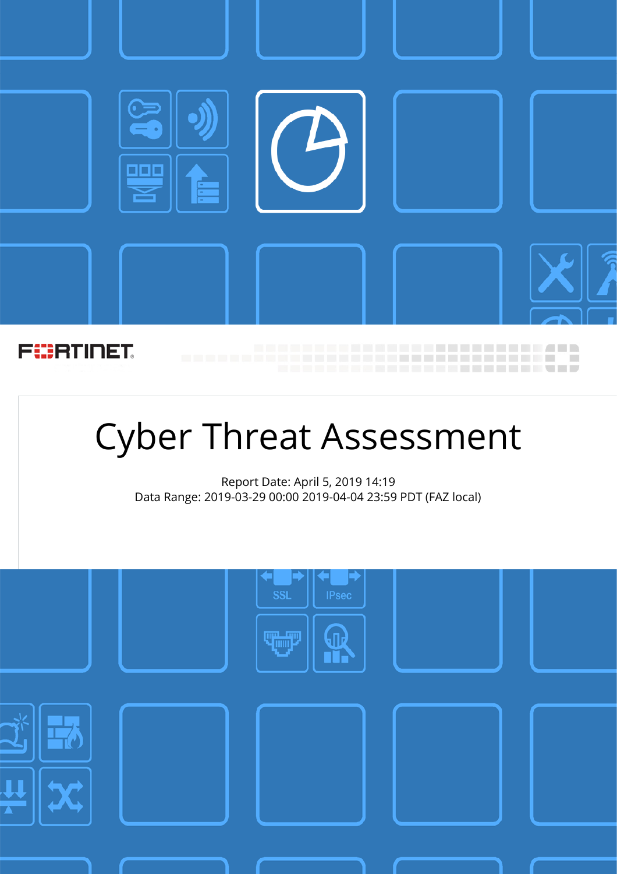

# Cyber Threat Assessment

Report Date: April 5, 2019 14:19 Data Range: 2019-03-29 00:00 2019-04-04 23:59 PDT (FAZ local)

|                                                                                                                                    | <b>IPsec</b><br>$\ensuremath{\mathsf{SSL}}$<br><b>TUP</b> |  |
|------------------------------------------------------------------------------------------------------------------------------------|-----------------------------------------------------------|--|
| $\left(\!\! \begin{array}{c}\right.\end{array}\!\!\!\!\!\right)$<br>$\mathbf{\mu}$<br>$\leftrightarrow$<br>$\overline{\mathbf{A}}$ |                                                           |  |
|                                                                                                                                    |                                                           |  |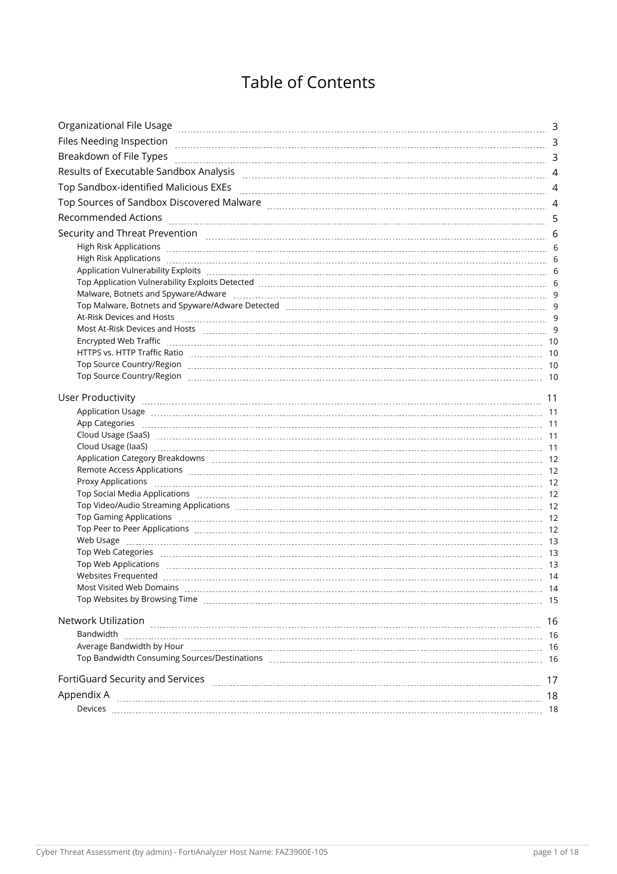### Table of Contents

| Organizational File Usage                                                                                                                                                                                                      | 3  |
|--------------------------------------------------------------------------------------------------------------------------------------------------------------------------------------------------------------------------------|----|
|                                                                                                                                                                                                                                |    |
| Breakdown of File Types                                                                                                                                                                                                        |    |
|                                                                                                                                                                                                                                |    |
| Top Sandbox-identified Malicious EXEs [11] Annual Material Machinese Annual Machinese Annual Machinese Annual M                                                                                                                |    |
|                                                                                                                                                                                                                                |    |
| <b>Recommended Actions</b>                                                                                                                                                                                                     |    |
|                                                                                                                                                                                                                                |    |
|                                                                                                                                                                                                                                |    |
|                                                                                                                                                                                                                                |    |
| Application Vulnerability Exploits [11] Application of the September 2014 of the September 2014 of the September 2014 of the September 2014 of the September 2014 of the September 2014 of the September 2014 of the September |    |
| Top Application Vulnerability Exploits Detected [111] The Content Content of Application Vulnerability Exploits Detected [11] The Content Content of Application Vulnerability Exploits Detected [11] The Content of Applicati |    |
|                                                                                                                                                                                                                                |    |
|                                                                                                                                                                                                                                |    |
|                                                                                                                                                                                                                                |    |
| Most At-Risk Devices and Hosts [11] Most and the Materian Assembly Capital At-Risk Devices and Hosts [13] Most                                                                                                                 |    |
|                                                                                                                                                                                                                                |    |
|                                                                                                                                                                                                                                |    |
|                                                                                                                                                                                                                                |    |
|                                                                                                                                                                                                                                |    |
|                                                                                                                                                                                                                                |    |
|                                                                                                                                                                                                                                |    |
|                                                                                                                                                                                                                                |    |
|                                                                                                                                                                                                                                |    |
| Cloud Usage (laaS) 11 11 11 12 12 13 13 14 14 15 16 16 17 18 17 18 17 18 17 18 17 18 17 18 17 18 17 18 17 18 1                                                                                                                 |    |
|                                                                                                                                                                                                                                |    |
|                                                                                                                                                                                                                                |    |
|                                                                                                                                                                                                                                |    |
| Top Social Media Applications [11] 12 The Contract of the Contract of the Contract of the Contract of the Contract of the Contract of the Contract of the Contract of the Contract of the Contract of the Contract of the Cont |    |
| Top Video/Audio Streaming Applications [111] The Contract Contract Contract Contract Contract Contract Contract Contract Contract Contract Contract Contract Contract Contract Contract Contract Contract Contract Contract Co |    |
|                                                                                                                                                                                                                                |    |
| Top Peer to Peer Applications [11,1,1] 12] Top Peer to Peer Applications [12] Top Peer to Peer Applications [12] Top Peer to Peer Applications [12] Top Peer to Peer Applications [12] Top Peer to Peer Applications [12] Top  |    |
|                                                                                                                                                                                                                                |    |
|                                                                                                                                                                                                                                |    |
|                                                                                                                                                                                                                                |    |
|                                                                                                                                                                                                                                |    |
| Most Visited Web Domains [11] March 1999 March 1999 March 1999 March 1999 March 1999 March 1999 March 1999 March 1999 March 1999 March 1999 March 1999 March 1999 March 1999 March 1999 March 1999 March 1999 March 1999 March | 14 |
| Top Websites by Browsing Time [11] [12] The Contract Control of the Control of Time Area and Time Area and Tim                                                                                                                 |    |
| Network Utilization                                                                                                                                                                                                            | 16 |
| Bandwidth                                                                                                                                                                                                                      |    |
|                                                                                                                                                                                                                                |    |
| Top Bandwidth Consuming Sources/Destinations [11] The Conservation Conservation of the Machinese Management of                                                                                                                 |    |
|                                                                                                                                                                                                                                |    |
| FortiGuard Security and Services <b>construction of the construction of the Security and Security and Services</b>                                                                                                             | 17 |
| Appendix A                                                                                                                                                                                                                     | 18 |
|                                                                                                                                                                                                                                |    |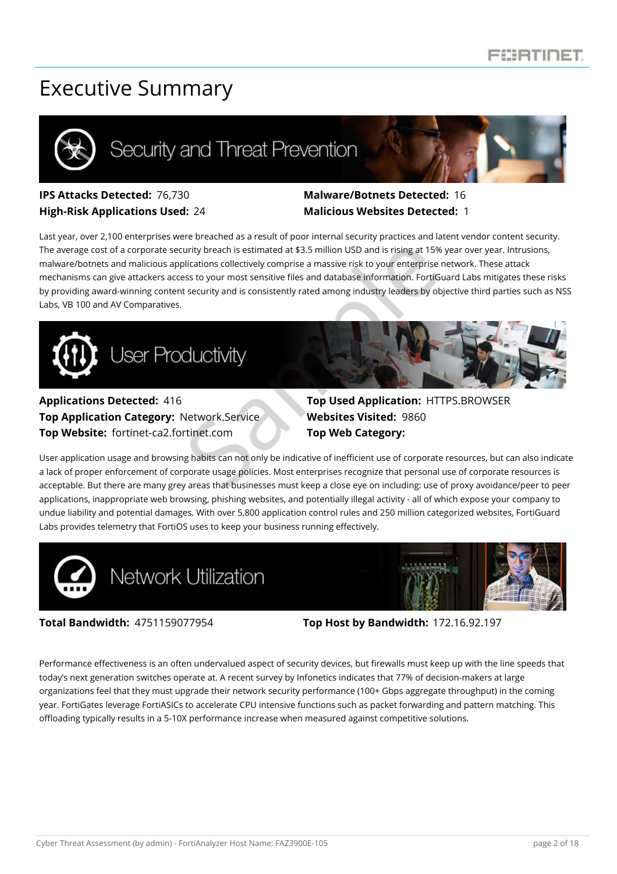### Executive Summary



## Security and Threat Prevention



#### **IPS Attacks Detected:** 76,730 **Malware/Botnets Detected:** 16 **High-Risk Applications Used:** 24 **Malicious Websites Detected:** 1

Last year, over 2,100 enterprises were breached as a result of poor internal security practices and latent vendor content security. The average cost of a corporate security breach is estimated at \$3.5 million USD and is rising at 15% year over year. Intrusions, malware/botnets and malicious applications collectively comprise a massive risk to your enterprise network. These attack mechanisms can give attackers access to your most sensitive files and database information. FortiGuard Labs mitigates these risks by providing award-winning content security and is consistently rated among industry leaders by objective third parties such as NSS Labs, VB 100 and AV Comparatives.



#### **Applications Detected:** 416 **Top Used Application:** HTTPS.BROWSER **Top Application Category: Network.Service <b>Websites Visited:** 9860 **Top Website:** fortinet-ca2.fortinet.com **Top Web Category:**

User application usage and browsing habits can not only be indicative of inefficient use of corporate resources, but can also indicate a lack of proper enforcement of corporate usage policies. Most enterprises recognize that personal use of corporate resources is acceptable. But there are many grey areas that businesses must keep a close eye on including: use of proxy avoidance/peer to peer applications, inappropriate web browsing, phishing websites, and potentially illegal activity - all of which expose your company to undue liability and potential damages. With over 5,800 application control rules and 250 million categorized websites, FortiGuard Labs provides telemetry that FortiOS uses to keep your business running effectively.





**Total Bandwidth:** 4751159077954 **Top Host by Bandwidth:** 172.16.92.197

Performance effectiveness is an often undervalued aspect of security devices, but firewalls must keep up with the line speeds that today's next generation switches operate at. A recent survey by Infonetics indicates that 77% of decision-makers at large organizations feel that they must upgrade their network security performance (100+ Gbps aggregate throughput) in the coming year. FortiGates leverage FortiASICs to accelerate CPU intensive functions such as packet forwarding and pattern matching. This offloading typically results in a 5-10X performance increase when measured against competitive solutions.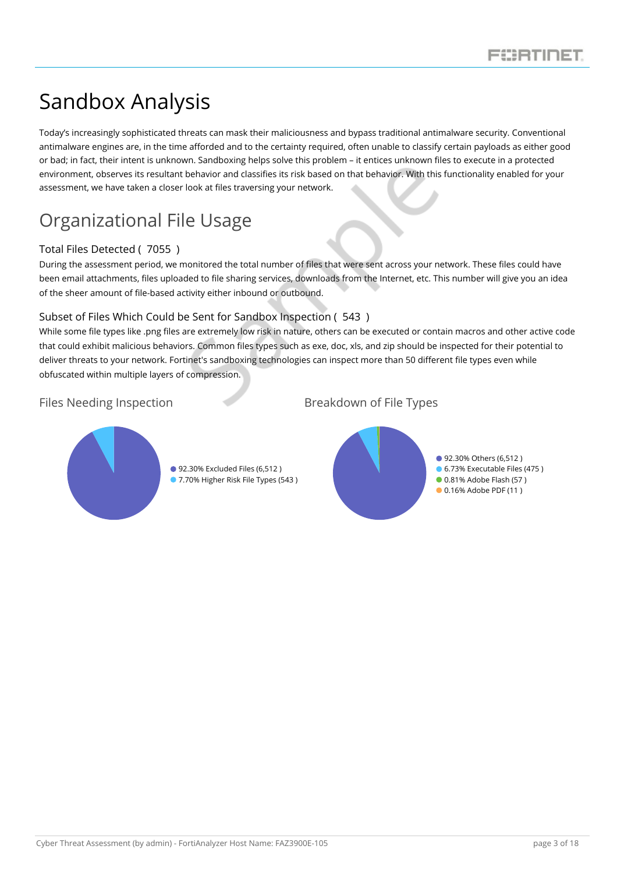## Sandbox Analysis

Today's increasingly sophisticated threats can mask their maliciousness and bypass traditional antimalware security. Conventional antimalware engines are, in the time afforded and to the certainty required, often unable to classify certain payloads as either good or bad; in fact, their intent is unknown. Sandboxing helps solve this problem – it entices unknown files to execute in a protected environment, observes its resultant behavior and classifies its risk based on that behavior. With this functionality enabled for your assessment, we have taken a closer look at files traversing your network.

### <span id="page-3-0"></span>Organizational File Usage

#### Total Files Detected ( 7055 )

During the assessment period, we monitored the total number of files that were sent across your network. These files could have been email attachments, files uploaded to file sharing services, downloads from the Internet, etc. This number will give you an idea of the sheer amount of file-based activity either inbound or outbound.

#### Subset of Files Which Could be Sent for Sandbox Inspection ( 543 )

While some file types like .png files are extremely low risk in nature, others can be executed or contain macros and other active code that could exhibit malicious behaviors. Common files types such as exe, doc, xls, and zip should be inspected for their potential to deliver threats to your network. Fortinet's sandboxing technologies can inspect more than 50 different file types even while obfuscated within multiple layers of compression.

#### <span id="page-3-1"></span>Files Needing Inspection Breakdown of File Types



<span id="page-3-2"></span>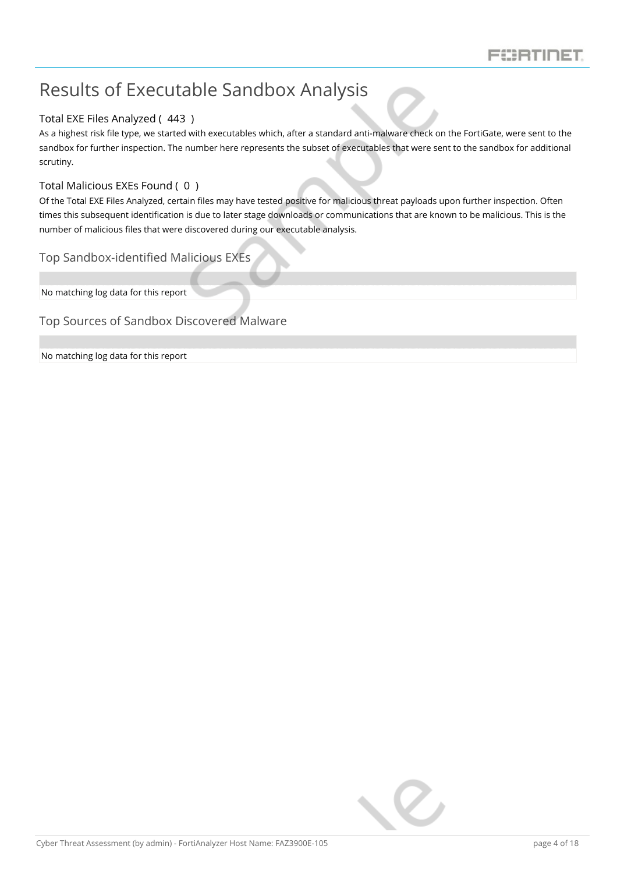### <span id="page-4-0"></span>Results of Executable Sandbox Analysis

#### Total EXE Files Analyzed ( 443 )

As a highest risk file type, we started with executables which, after a standard anti-malware check on the FortiGate, were sent to the sandbox for further inspection. The number here represents the subset of executables that were sent to the sandbox for additional scrutiny.

#### Total Malicious EXEs Found ( 0 )

Of the Total EXE Files Analyzed, certain files may have tested positive for malicious threat payloads upon further inspection. Often times this subsequent identification is due to later stage downloads or communications that are known to be malicious. This is the number of malicious files that were discovered during our executable analysis.

#### <span id="page-4-1"></span>Top Sandbox-identified Malicious EXEs

No matching log data for this report

#### <span id="page-4-2"></span>Top Sources of Sandbox Discovered Malware

No matching log data for this report

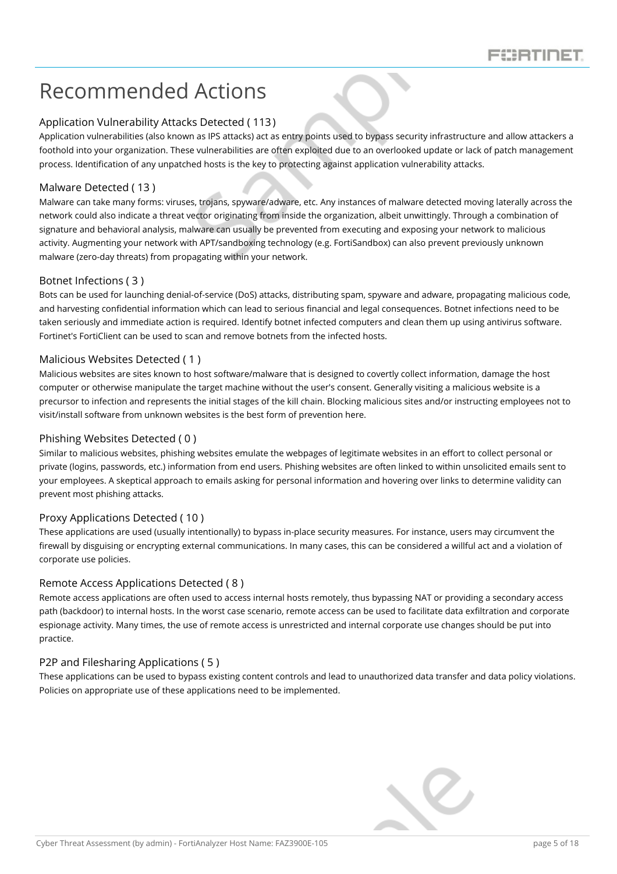### <span id="page-5-0"></span>Recommended Actions

#### Application Vulnerability Attacks Detected ( 113)

Application vulnerabilities (also known as IPS attacks) act as entry points used to bypass security infrastructure and allow attackers a foothold into your organization. These vulnerabilities are often exploited due to an overlooked update or lack of patch management process. Identification of any unpatched hosts is the key to protecting against application vulnerability attacks.

#### Malware Detected ( 13 )

Malware can take many forms: viruses, trojans, spyware/adware, etc. Any instances of malware detected moving laterally across the network could also indicate a threat vector originating from inside the organization, albeit unwittingly. Through a combination of signature and behavioral analysis, malware can usually be prevented from executing and exposing your network to malicious activity. Augmenting your network with APT/sandboxing technology (e.g. FortiSandbox) can also prevent previously unknown malware (zero-day threats) from propagating within your network.

#### Botnet Infections ( 3 )

Bots can be used for launching denial-of-service (DoS) attacks, distributing spam, spyware and adware, propagating malicious code, and harvesting confidential information which can lead to serious financial and legal consequences. Botnet infections need to be taken seriously and immediate action is required. Identify botnet infected computers and clean them up using antivirus software. Fortinet's FortiClient can be used to scan and remove botnets from the infected hosts.

#### Malicious Websites Detected ( 1 )

Malicious websites are sites known to host software/malware that is designed to covertly collect information, damage the host computer or otherwise manipulate the target machine without the user's consent. Generally visiting a malicious website is a precursor to infection and represents the initial stages of the kill chain. Blocking malicious sites and/or instructing employees not to visit/install software from unknown websites is the best form of prevention here.

#### Phishing Websites Detected ( 0 )

Similar to malicious websites, phishing websites emulate the webpages of legitimate websites in an effort to collect personal or private (logins, passwords, etc.) information from end users. Phishing websites are often linked to within unsolicited emails sent to your employees. A skeptical approach to emails asking for personal information and hovering over links to determine validity can prevent most phishing attacks.

#### Proxy Applications Detected ( 10 )

These applications are used (usually intentionally) to bypass in-place security measures. For instance, users may circumvent the firewall by disguising or encrypting external communications. In many cases, this can be considered a willful act and a violation of corporate use policies.

#### Remote Access Applications Detected ( 8 )

Remote access applications are often used to access internal hosts remotely, thus bypassing NAT or providing a secondary access path (backdoor) to internal hosts. In the worst case scenario, remote access can be used to facilitate data exfiltration and corporate espionage activity. Many times, the use of remote access is unrestricted and internal corporate use changes should be put into practice.

#### P2P and Filesharing Applications ( 5 )

These applications can be used to bypass existing content controls and lead to unauthorized data transfer and data policy violations. Policies on appropriate use of these applications need to be implemented.

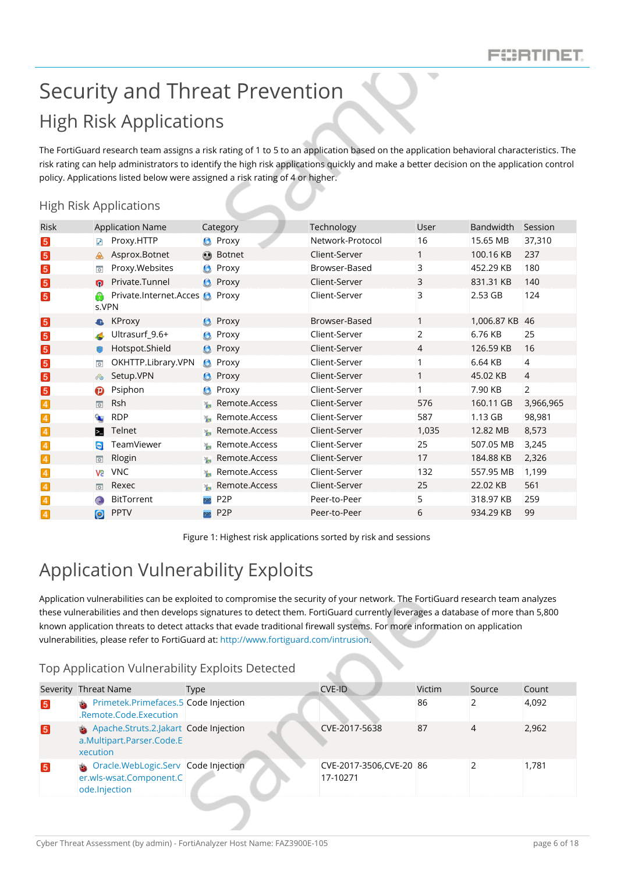## <span id="page-6-1"></span><span id="page-6-0"></span>Security and Threat Prevention High Risk Applications

The FortiGuard research team assigns a risk rating of 1 to 5 to an application based on the application behavioral characteristics. The risk rating can help administrators to identify the high risk applications quickly and make a better decision on the application control policy. Applications listed below were assigned a risk rating of 4 or higher.

#### <span id="page-6-2"></span>High Risk Applications

| <b>Risk</b>             |                         | <b>Application Name</b>               |                  | Category         | Technology       | User           | Bandwidth   | Session        |
|-------------------------|-------------------------|---------------------------------------|------------------|------------------|------------------|----------------|-------------|----------------|
| $\boxed{5}$             | И                       | Proxy.HTTP                            |                  | <b>C</b> Proxy   | Network-Protocol | 16             | 15.65 MB    | 37,310         |
| $\vert 5 \vert$         | ♨                       | Asprox.Botnet                         |                  | <b>O</b> Botnet  | Client-Server    | 1              | 100.16 KB   | 237            |
| $\sqrt{5}$              | $\overline{\phi}$       | Proxy. Websites                       | G                | Proxy            | Browser-Based    | 3              | 452.29 KB   | 180            |
| $\boxed{5}$             | $\Omega$                | Private.Tunnel                        |                  | <b>O</b> Proxy   | Client-Server    | 3              | 831.31 KB   | 140            |
| $\vert 5 \vert$         | s.VPN                   | Private.Internet.Acces <b>O</b> Proxy |                  |                  | Client-Server    | 3              | 2.53 GB     | 124            |
| $\boxed{5}$             |                         | <b>&amp;</b> KProxy                   |                  | <b>C</b> Proxy   | Browser-Based    | 1              | 1,006.87 KB | 46             |
| $\vert 5 \vert$         |                         | Ultrasurf_9.6+                        | G                | Proxy            | Client-Server    | $\overline{2}$ | 6.76 KB     | 25             |
| $\boxed{5}$             | $\circ$                 | Hotspot.Shield                        |                  | <b>C</b> Proxy   | Client-Server    | 4              | 126.59 KB   | 16             |
| $\boxed{5}$             | $\overline{\mathbf{Q}}$ | OKHTTP.Library.VPN                    |                  | <b>C</b> Proxy   | Client-Server    | 1              | 6.64 KB     | $\overline{4}$ |
| $\boxed{5}$             | ిం                      | Setup.VPN                             |                  | <b>C</b> Proxy   | Client-Server    | 1              | 45.02 KB    | $\overline{4}$ |
| $\overline{\mathbf{5}}$ | ø                       | Psiphon                               | G                | Proxy            | Client-Server    | $\mathbf{1}$   | 7.90 KB     | $\overline{2}$ |
| $\overline{4}$          | $\overline{\circ}$      | <b>Rsh</b>                            | $\frac{36}{100}$ | Remote.Access    | Client-Server    | 576            | 160.11 GB   | 3,966,965      |
| $\overline{4}$          | $\bullet$               | <b>RDP</b>                            | $\frac{1}{2}$    | Remote.Access    | Client-Server    | 587            | 1.13 GB     | 98,981         |
| $\overline{4}$          | ⊠                       | Telnet                                | $\frac{1}{2}$    | Remote.Access    | Client-Server    | 1,035          | 12.82 MB    | 8,573          |
| $\overline{4}$          | $\bullet$               | TeamViewer                            |                  | Remote.Access    | Client-Server    | 25             | 507.05 MB   | 3,245          |
| $\overline{4}$          | $\overline{\mathbf{Q}}$ | Rlogin                                | $\frac{1}{2}$    | Remote.Access    | Client-Server    | 17             | 184.88 KB   | 2,326          |
| $\overline{4}$          | VS.                     | <b>VNC</b>                            |                  | Remote.Access    | Client-Server    | 132            | 557.95 MB   | 1,199          |
| $\overline{4}$          | $\overline{\phi}$       | Rexec                                 | $\frac{3d}{4}$   | Remote.Access    | Client-Server    | 25             | 22.02 KB    | 561            |
| $\overline{4}$          | $\sqrt{6}$              | BitTorrent                            | P <sub>2P</sub>  | P <sub>2</sub> P | Peer-to-Peer     | 5              | 318.97 KB   | 259            |
| $\overline{4}$          | $\bullet$               | <b>PPTV</b>                           | P <sub>2P</sub>  | P <sub>2</sub> P | Peer-to-Peer     | 6              | 934.29 KB   | 99             |

Figure 1: Highest risk applications sorted by risk and sessions

### <span id="page-6-3"></span>Application Vulnerability Exploits

Application vulnerabilities can be exploited to compromise the security of your network. The FortiGuard research team analyzes these vulnerabilities and then develops signatures to detect them. FortiGuard currently leverages a database of more than 5,800 known application threats to detect attacks that evade traditional firewall systems. For more information on application vulnerabilities, please refer to FortiGuard at: [http://www.fortiguard.com/intrusion.](http://www.fortiguard.com/intrusion)

#### <span id="page-6-4"></span>Top Application Vulnerability Exploits Detected

|                 | Severity Threat Name                                                                         | Type | CVE-ID                               | Victim | Source | Count |
|-----------------|----------------------------------------------------------------------------------------------|------|--------------------------------------|--------|--------|-------|
| 5               | Primetek.Primefaces.5 Code Injection<br>.Remote.Code.Execution                               |      |                                      | 86     |        | 4,092 |
| $\boxed{5}$     | Apache.Struts.2.Jakart Code Injection<br>a.Multipart.Parser.Code.E<br>xecution               |      | CVE-2017-5638                        | 87     | 4      | 2.962 |
| $5\overline{5}$ | <b>&amp;</b> Oracle.WebLogic.Serv Code Injection<br>er.wls-wsat.Component.C<br>ode.Injection |      | CVE-2017-3506, CVE-20 86<br>17-10271 |        |        | 1,781 |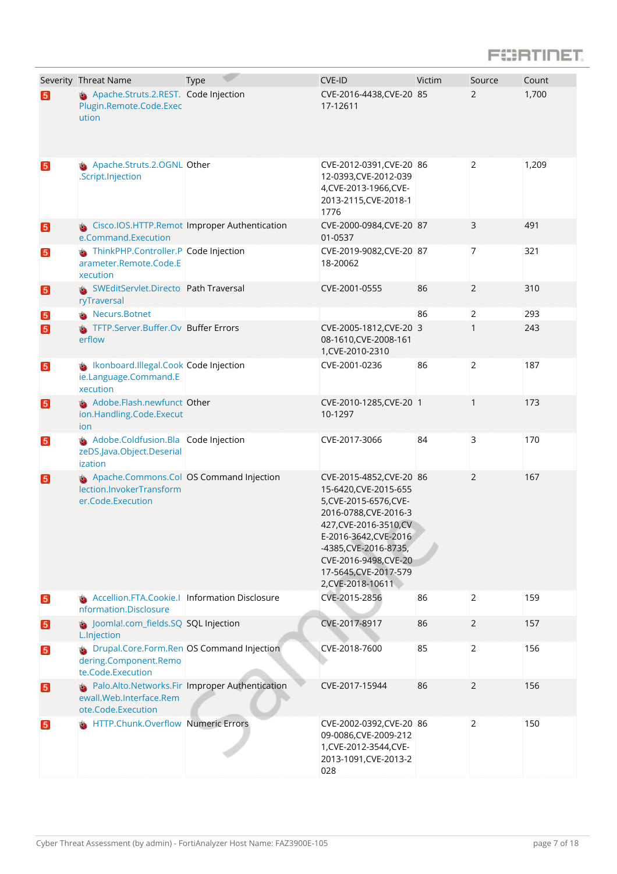### **FORTIFIET**

|                 | Severity Threat Name                                                                             | <b>Type</b> | CVE-ID                                                                                                                                                                                                                                                  | Victim | Source         | Count |
|-----------------|--------------------------------------------------------------------------------------------------|-------------|---------------------------------------------------------------------------------------------------------------------------------------------------------------------------------------------------------------------------------------------------------|--------|----------------|-------|
| 5               | Apache.Struts.2.REST. Code Injection<br>Plugin.Remote.Code.Exec<br>ution                         |             | CVE-2016-4438, CVE-20 85<br>17-12611                                                                                                                                                                                                                    |        | 2              | 1,700 |
| 5               | Apache.Struts.2.OGNL Other<br>.Script.Injection                                                  |             | CVE-2012-0391, CVE-20 86<br>12-0393, CVE-2012-039<br>4, CVE-2013-1966, CVE-<br>2013-2115, CVE-2018-1<br>1776                                                                                                                                            |        | $\overline{2}$ | 1,209 |
| $\vert 5 \vert$ | Cisco.IOS.HTTP.Remot Improper Authentication<br>e.Command.Execution                              |             | CVE-2000-0984, CVE-20 87<br>01-0537                                                                                                                                                                                                                     |        | 3              | 491   |
| $\vert 5 \vert$ | ThinkPHP.Controller.P Code Injection<br>arameter.Remote.Code.E<br>xecution                       |             | CVE-2019-9082, CVE-20 87<br>18-20062                                                                                                                                                                                                                    |        | $\overline{7}$ | 321   |
| $\sqrt{5}$      | SWEditServlet.Directo Path Traversal<br>ryTraversal                                              |             | CVE-2001-0555                                                                                                                                                                                                                                           | 86     | $\overline{2}$ | 310   |
| $\boxed{5}$     | Necurs.Botnet                                                                                    |             |                                                                                                                                                                                                                                                         | 86     | 2              | 293   |
| 5               | TFTP.Server.Buffer.Ov Buffer Errors<br>erflow                                                    |             | CVE-2005-1812, CVE-20 3<br>08-1610, CVE-2008-161<br>1, CVE-2010-2310                                                                                                                                                                                    |        | 1              | 243   |
| $\boxed{5}$     | <b>S</b> Ikonboard.Illegal.Cook Code Injection<br>ie.Language.Command.E<br>xecution              |             | CVE-2001-0236                                                                                                                                                                                                                                           | 86     | $\overline{2}$ | 187   |
| $\boxed{5}$     | <b>Adobe.Flash.newfunct Other</b><br>ion.Handling.Code.Execut<br>ion                             |             | CVE-2010-1285, CVE-20 1<br>10-1297                                                                                                                                                                                                                      |        | 1              | 173   |
| $\vert 5 \vert$ | Adobe.Coldfusion.Bla Code Injection<br>zeDS.Java.Object.Deserial<br>ization                      |             | CVE-2017-3066                                                                                                                                                                                                                                           | 84     | 3              | 170   |
| $\boxed{5}$     | Apache.Commons.Col OS Command Injection<br>lection.InvokerTransform<br>er.Code.Execution         |             | CVE-2015-4852, CVE-20 86<br>15-6420, CVE-2015-655<br>5, CVE-2015-6576, CVE-<br>2016-0788, CVE-2016-3<br>427, CVE-2016-3510, CV<br>E-2016-3642, CVE-2016<br>-4385, CVE-2016-8735,<br>CVE-2016-9498, CVE-20<br>17-5645, CVE-2017-579<br>2, CVE-2018-10611 |        | 2              | 167   |
| $\boxed{5}$     | Accellion.FTA.Cookie.I Information Disclosure<br>nformation.Disclosure                           |             | CVE-2015-2856                                                                                                                                                                                                                                           | 86     | 2              | 159   |
| $\sqrt{5}$      | doomlal.com_fields.SQ SQL Injection<br>L.Injection                                               |             | CVE-2017-8917                                                                                                                                                                                                                                           | 86     | 2              | 157   |
| $\boxed{5}$     | <b>S</b> Drupal.Core.Form.Ren OS Command Injection<br>dering.Component.Remo<br>te.Code.Execution |             | CVE-2018-7600                                                                                                                                                                                                                                           | 85     | $\overline{2}$ | 156   |
| $\boxed{5}$     | Palo.Alto.Networks.Fir Improper Authentication<br>ewall.Web.Interface.Rem<br>ote.Code.Execution  |             | CVE-2017-15944                                                                                                                                                                                                                                          | 86     | 2              | 156   |
| 5 <sub>5</sub>  | <b>HTTP.Chunk.Overflow Numeric Errors</b>                                                        |             | CVE-2002-0392, CVE-20 86<br>09-0086, CVE-2009-212<br>1, CVE-2012-3544, CVE-<br>2013-1091, CVE-2013-2<br>028                                                                                                                                             |        | $\overline{2}$ | 150   |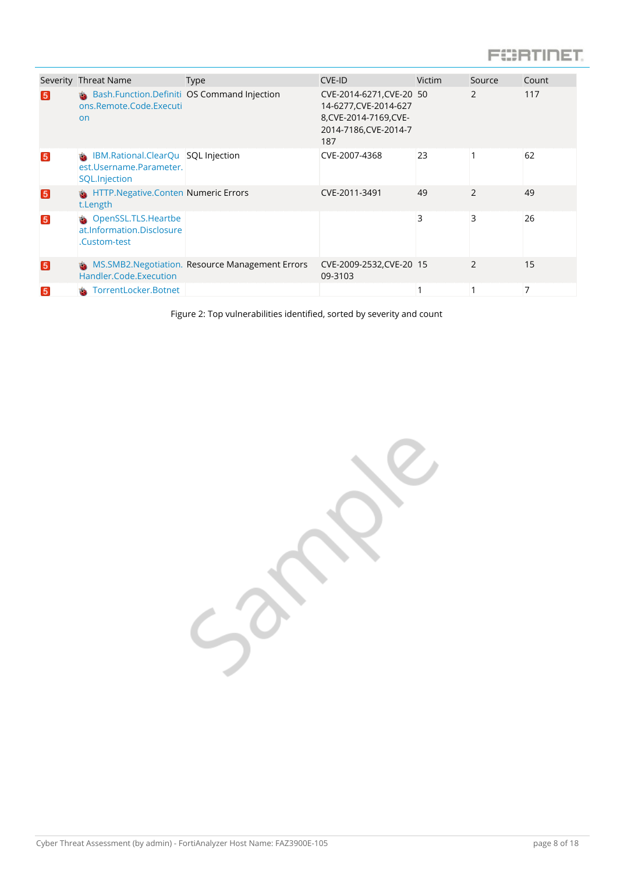### **FORTIDET**

|                | Severity Threat Name                                                           | <b>Type</b>                                     | CVE-ID                                                                                                      | Victim | Source         | Count |
|----------------|--------------------------------------------------------------------------------|-------------------------------------------------|-------------------------------------------------------------------------------------------------------------|--------|----------------|-------|
| 5 <sub>5</sub> | Bash.Function.Definiti OS Command Injection<br>ons.Remote.Code.Executi<br>on   |                                                 | CVE-2014-6271, CVE-20 50<br>14-6277, CVE-2014-627<br>8, CVE-2014-7169, CVE-<br>2014-7186, CVE-2014-7<br>187 |        | 2              | 117   |
| 5              | IBM.Rational.ClearQu SQL Injection<br>est.Username.Parameter.<br>SQL.Injection |                                                 | CVE-2007-4368                                                                                               | 23     |                | 62    |
| 5 <sup>1</sup> | HTTP.Negative.Conten Numeric Errors<br>t.Length                                |                                                 | CVE-2011-3491                                                                                               | 49     | $\mathcal{P}$  | 49    |
| 5              | <b>S</b> OpenSSL.TLS.Heartbe<br>at.Information.Disclosure<br>.Custom-test      |                                                 |                                                                                                             | 3      | 3              | 26    |
| 5              | Handler.Code.Execution                                                         | MS.SMB2.Negotiation. Resource Management Errors | CVE-2009-2532, CVE-20 15<br>09-3103                                                                         |        | $\overline{2}$ | 15    |
| 5              | TorrentLocker.Botnet                                                           |                                                 |                                                                                                             |        | 1              | 7     |

Figure 2: Top vulnerabilities identified, sorted by severity and count

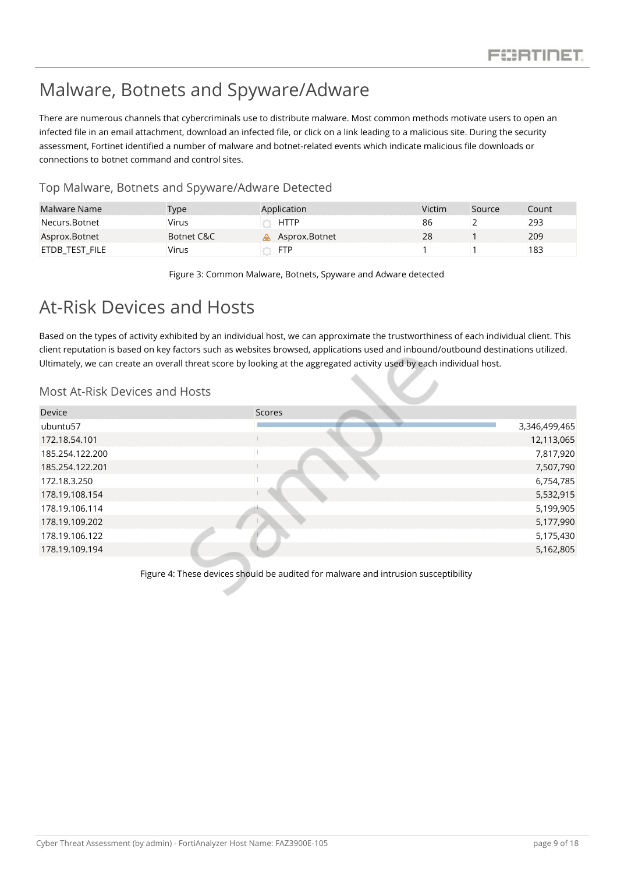### <span id="page-9-0"></span>Malware, Botnets and Spyware/Adware

There are numerous channels that cybercriminals use to distribute malware. Most common methods motivate users to open an infected file in an email attachment, download an infected file, or click on a link leading to a malicious site. During the security assessment, Fortinet identified a number of malware and botnet-related events which indicate malicious file downloads or connections to botnet command and control sites.

#### <span id="page-9-1"></span>Top Malware, Botnets and Spyware/Adware Detected

| Malware Name   | <b>Type</b> | Application   | Victim | Source | Count |
|----------------|-------------|---------------|--------|--------|-------|
| Necurs.Botnet  | Virus       | <b>HTTP</b>   | 86     |        | 293   |
| Asprox.Botnet  | Botnet C&C  | Asprox.Botnet | 28     |        | 209   |
| etdb test file | Virus       | <b>FTP</b>    |        |        | 183   |

Figure 3: Common Malware, Botnets, Spyware and Adware detected

### <span id="page-9-2"></span>At-Risk Devices and Hosts

Based on the types of activity exhibited by an individual host, we can approximate the trustworthiness of each individual client. This client reputation is based on key factors such as websites browsed, applications used and inbound/outbound destinations utilized. Ultimately, we can create an overall threat score by looking at the aggregated activity used by each individual host.

#### <span id="page-9-3"></span>Most At-Risk Devices and Hosts

| <b>Scores</b> |               |
|---------------|---------------|
|               | 3,346,499,465 |
|               | 12,113,065    |
|               | 7,817,920     |
|               | 7,507,790     |
|               | 6,754,785     |
|               | 5,532,915     |
|               | 5,199,905     |
|               | 5,177,990     |
|               | 5,175,430     |
|               | 5,162,805     |
|               |               |

Figure 4: These devices should be audited for malware and intrusion susceptibility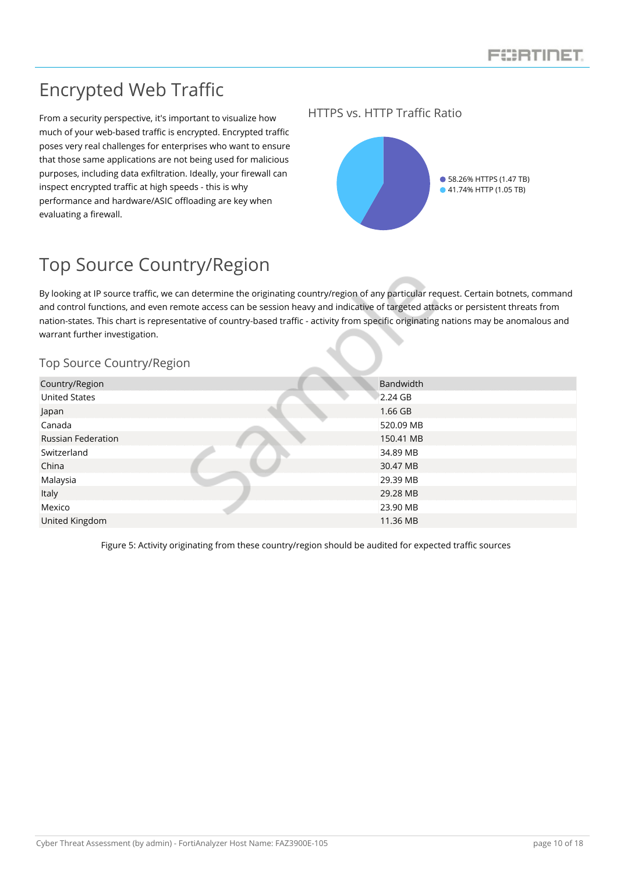### <span id="page-10-0"></span>Encrypted Web Traffic

From a security perspective, it's important to visualize how much of your web-based traffic is encrypted. Encrypted traffic poses very real challenges for enterprises who want to ensure that those same applications are not being used for malicious purposes, including data exfiltration. Ideally, your firewall can inspect encrypted traffic at high speeds - this is why performance and hardware/ASIC offloading are key when evaluating a firewall.

#### <span id="page-10-1"></span>HTTPS vs. HTTP Traffic Ratio



### <span id="page-10-2"></span>Top Source Country/Region

By looking at IP source traffic, we can determine the originating country/region of any particular request. Certain botnets, command and control functions, and even remote access can be session heavy and indicative of targeted attacks or persistent threats from nation-states. This chart is representative of country-based traffic - activity from specific originating nations may be anomalous and warrant further investigation.

#### <span id="page-10-3"></span>Top Source Country/Region

| Country/Region            | Bandwidth |
|---------------------------|-----------|
| <b>United States</b>      | 2.24 GB   |
| Japan                     | $1.66$ GB |
| Canada                    | 520.09 MB |
| <b>Russian Federation</b> | 150.41 MB |
| Switzerland               | 34.89 MB  |
| China                     | 30.47 MB  |
| Malaysia                  | 29.39 MB  |
| Italy                     | 29.28 MB  |
| Mexico                    | 23.90 MB  |
| United Kingdom            | 11.36 MB  |
|                           |           |

Figure 5: Activity originating from these country/region should be audited for expected traffic sources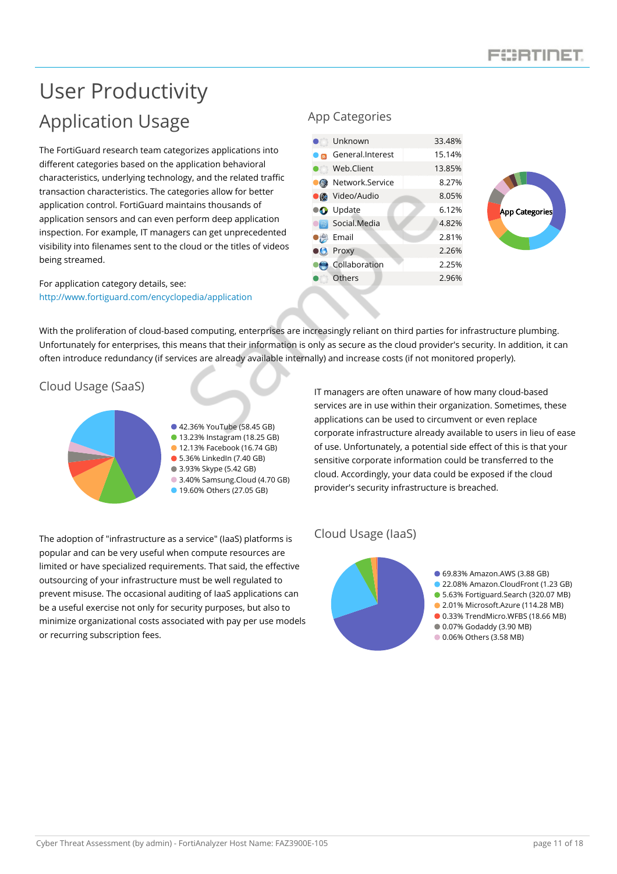## <span id="page-11-1"></span><span id="page-11-0"></span>User Productivity Application Usage

The FortiGuard research team categorizes applications into different categories based on the application behavioral characteristics, underlying technology, and the related traffic transaction characteristics. The categories allow for better application control. FortiGuard maintains thousands of application sensors and can even perform deep application inspection. For example, IT managers can get unprecedented visibility into filenames sent to the cloud or the titles of videos being streamed.

For application category details, see: <http://www.fortiguard.com/encyclopedia/application>

#### <span id="page-11-2"></span>App Categories

| Unknown                                | 33.48% |
|----------------------------------------|--------|
| General.Interest                       | 15.14% |
| Web.Client<br>$\chi^2 \chi^2_{\rm{B}}$ | 13.85% |
| Network.Service                        | 8.27%  |
| Video/Audio                            | 8.05%  |
| <b>O</b> Update                        | 6.12%  |
| Social.Media                           | 4.82%  |
| Email                                  | 2.81%  |
| Proxy                                  | 2.26%  |
| Collaboration                          | 2.25%  |
| Others                                 | 2.96%  |
|                                        |        |



With the proliferation of cloud-based computing, enterprises are increasingly reliant on third parties for infrastructure plumbing. Unfortunately for enterprises, this means that their information is only as secure as the cloud provider's security. In addition, it can often introduce redundancy (if services are already available internally) and increase costs (if not monitored properly).

#### <span id="page-11-3"></span>Cloud Usage (SaaS)



42.36% YouTube (58.45 GB) 13.23% Instagram (18.25 GB) **12.13% Facebook (16.74 GB)** 5.36% LinkedIn (7.40 GB) ● 3.93% Skype (5.42 GB) 3.40% Samsung.Cloud (4.70 GB) **19.60% Others (27.05 GB)** 

The adoption of "infrastructure as a service" (IaaS) platforms is popular and can be very useful when compute resources are limited or have specialized requirements. That said, the effective outsourcing of your infrastructure must be well regulated to prevent misuse. The occasional auditing of IaaS applications can be a useful exercise not only for security purposes, but also to minimize organizational costs associated with pay per use models or recurring subscription fees.

IT managers are often unaware of how many cloud-based services are in use within their organization. Sometimes, these applications can be used to circumvent or even replace corporate infrastructure already available to users in lieu of ease of use. Unfortunately, a potential side effect of this is that your sensitive corporate information could be transferred to the cloud. Accordingly, your data could be exposed if the cloud provider's security infrastructure is breached.

#### <span id="page-11-4"></span>Cloud Usage (IaaS)

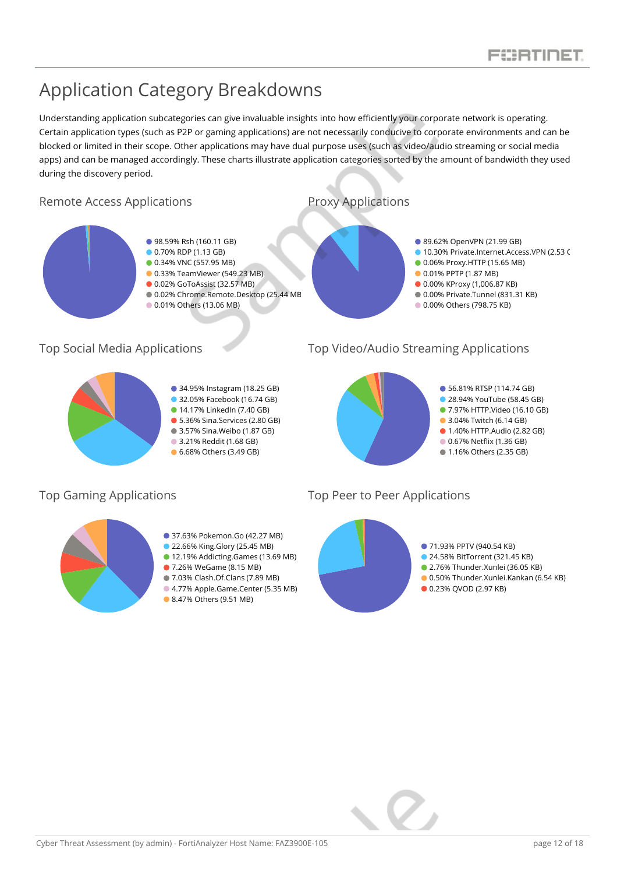### <span id="page-12-0"></span>Application Category Breakdowns

Understanding application subcategories can give invaluable insights into how efficiently your corporate network is operating. Certain application types (such as P2P or gaming applications) are not necessarily conducive to corporate environments and can be blocked or limited in their scope. Other applications may have dual purpose uses (such as video/audio streaming or social media apps) and can be managed accordingly. These charts illustrate application categories sorted by the amount of bandwidth they used during the discovery period.

<span id="page-12-1"></span>

34.95% Instagram (18.25 GB)

- 32.05% Facebook (16.74 GB)
- 14.17% LinkedIn (7.40 GB)
- 5.36% Sina.Services (2.80 GB)
- 3.57% Sina.Weibo (1.87 GB)
- 3.21% Reddit (1.68 GB) **6.68% Others (3.49 GB)**

#### <span id="page-12-3"></span>Top Social Media Applications Top Video/Audio Streaming Applications

<span id="page-12-4"></span><span id="page-12-2"></span>



- **22.66% King.Glory (25.45 MB)**
- 12.19% Addicting.Games (13.69 MB)
- 7.26% WeGame (8.15 MB)
- 7.03% Clash.Of.Clans (7.89 MB)
- 4.77% Apple.Game.Center (5.35 MB)
- 8.47% Others (9.51 MB)

#### <span id="page-12-5"></span>Top Gaming Applications Top Peer to Peer Applications

<span id="page-12-6"></span>

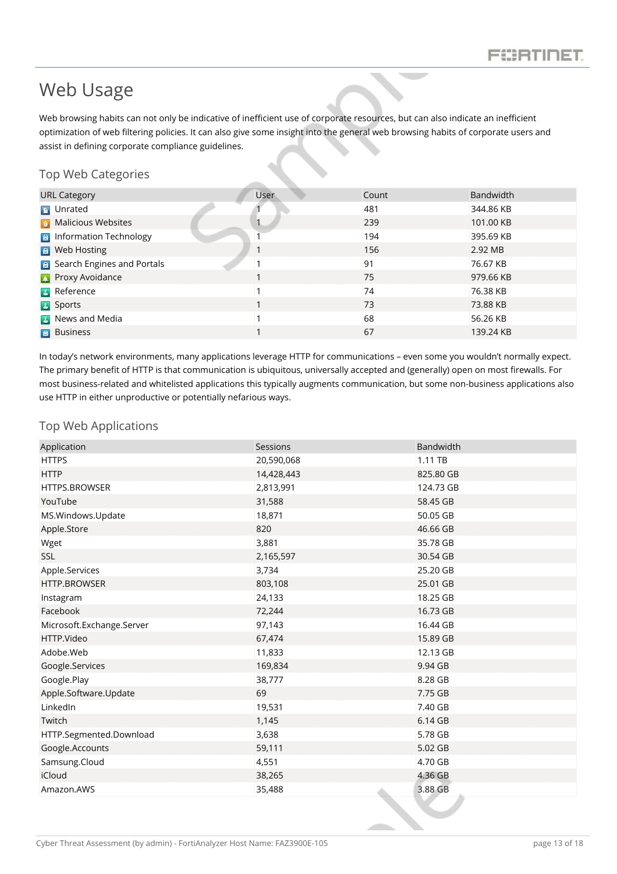### <span id="page-13-0"></span>Web Usage

Web browsing habits can not only be indicative of inefficient use of corporate resources, but can also indicate an inefficient optimization of web filtering policies. It can also give some insight into the general web browsing habits of corporate users and assist in defining corporate compliance guidelines.

#### <span id="page-13-1"></span>Top Web Categories

| <b>URL Category</b>                 | User                     | Count | Bandwidth |
|-------------------------------------|--------------------------|-------|-----------|
| <b>D</b> Unrated                    |                          | 481   | 344.86 KB |
| <b>11</b> Malicious Websites        |                          | 239   | 101.00 KB |
| <b>B</b> Information Technology     |                          | 194   | 395.69 KB |
| <b>R</b> Web Hosting                | $\overline{\phantom{a}}$ | 156   | 2.92 MB   |
| <b>B</b> Search Engines and Portals |                          | 91    | 76.67 KB  |
| <b>A</b> Proxy Avoidance            |                          | 75    | 979.66 KB |
| <b>B</b> Reference                  |                          | 74    | 76.38 KB  |
| <b>B</b> Sports                     |                          | 73    | 73.88 KB  |
| <b>B</b> News and Media             |                          | 68    | 56.26 KB  |
| <b>a</b> Business                   |                          | 67    | 139.24 KB |

In today's network environments, many applications leverage HTTP for communications – even some you wouldn't normally expect. The primary benefit of HTTP is that communication is ubiquitous, universally accepted and (generally) open on most firewalls. For most business-related and whitelisted applications this typically augments communication, but some non-business applications also use HTTP in either unproductive or potentially nefarious ways.

#### <span id="page-13-2"></span>Top Web Applications

| Application               | Sessions   | Bandwidth |
|---------------------------|------------|-----------|
| <b>HTTPS</b>              | 20,590,068 | 1.11 TB   |
| <b>HTTP</b>               | 14,428,443 | 825.80 GB |
| HTTPS.BROWSER             | 2,813,991  | 124.73 GB |
| YouTube                   | 31,588     | 58.45 GB  |
| MS.Windows.Update         | 18,871     | 50.05 GB  |
| Apple.Store               | 820        | 46.66 GB  |
| Wget                      | 3,881      | 35.78 GB  |
| SSL                       | 2,165,597  | 30.54 GB  |
| Apple.Services            | 3,734      | 25.20 GB  |
| HTTP.BROWSER              | 803,108    | 25.01 GB  |
| Instagram                 | 24,133     | 18.25 GB  |
| Facebook                  | 72,244     | 16.73 GB  |
| Microsoft.Exchange.Server | 97,143     | 16.44 GB  |
| HTTP.Video                | 67,474     | 15.89 GB  |
| Adobe.Web                 | 11,833     | 12.13 GB  |
| Google.Services           | 169,834    | 9.94 GB   |
| Google.Play               | 38,777     | 8.28 GB   |
| Apple.Software.Update     | 69         | 7.75 GB   |
| LinkedIn                  | 19,531     | 7.40 GB   |
| Twitch                    | 1,145      | 6.14 GB   |
| HTTP.Segmented.Download   | 3,638      | 5.78 GB   |
| Google.Accounts           | 59,111     | 5.02 GB   |
| Samsung.Cloud             | 4,551      | 4.70 GB   |
| iCloud                    | 38,265     | 4.36 GB   |
| Amazon.AWS                | 35,488     | 3.88 GB   |
|                           |            |           |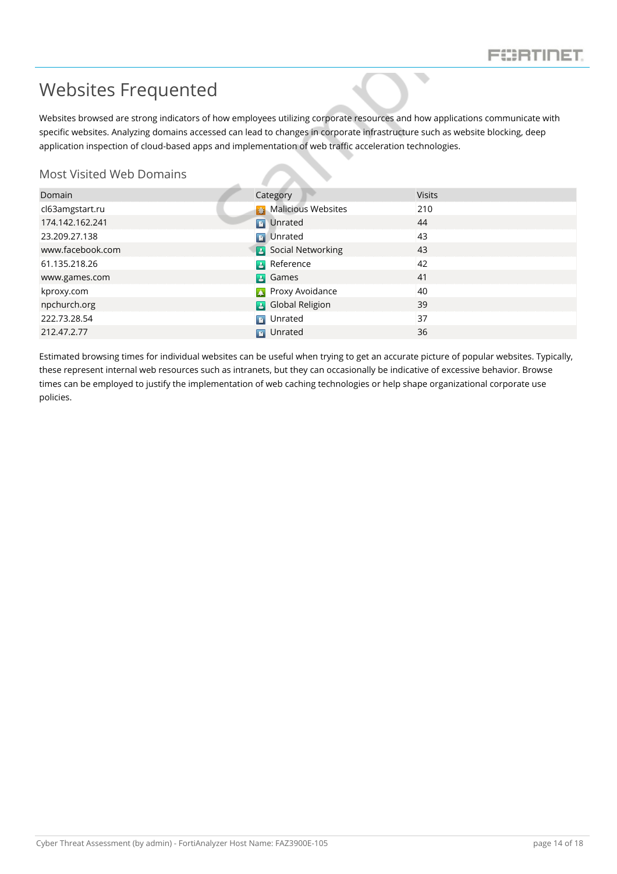$\overline{\phantom{a}}$ 

### <span id="page-14-0"></span>Websites Frequented

Websites browsed are strong indicators of how employees utilizing corporate resources and how applications communicate with specific websites. Analyzing domains accessed can lead to changes in corporate infrastructure such as website blocking, deep application inspection of cloud-based apps and implementation of web traffic acceleration technologies.

#### <span id="page-14-1"></span>Most Visited Web Domains

| Domain           | Category                   | <b>Visits</b> |
|------------------|----------------------------|---------------|
| cl63amgstart.ru  | <b>Malicious Websites</b>  | 210           |
| 174.142.162.241  | <b>D</b> Unrated           | 44            |
| 23.209.27.138    | <b>D</b> Unrated           | 43            |
| www.facebook.com | <b>B</b> Social Networking | 43            |
| 61.135.218.26    | <b>B</b> Reference         | 42            |
| www.games.com    | <b>B</b> Games             | 41            |
| kproxy.com       | <b>Proxy Avoidance</b>     | 40            |
| npchurch.org     | <b>B</b> Global Religion   | 39            |
| 222.73.28.54     | <b>D</b> Unrated           | 37            |
| 212.47.2.77      | Unrated<br><b>D</b>        | 36            |

Estimated browsing times for individual websites can be useful when trying to get an accurate picture of popular websites. Typically, these represent internal web resources such as intranets, but they can occasionally be indicative of excessive behavior. Browse times can be employed to justify the implementation of web caching technologies or help shape organizational corporate use policies.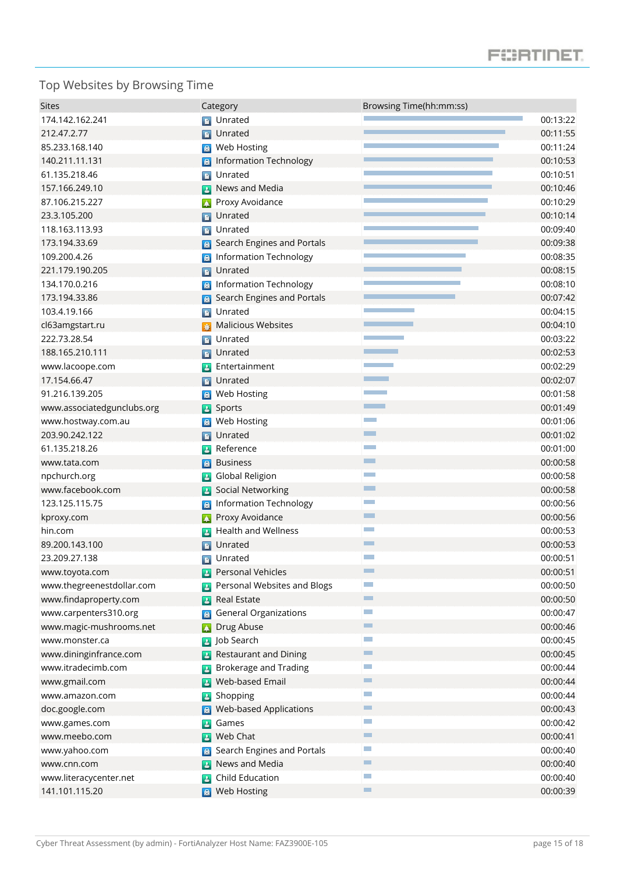### **FORTIFIET**

### <span id="page-15-0"></span>Top Websites by Browsing Time

| <b>Sites</b>               | Category                                        | Browsing Time(hh:mm:ss)     |          |
|----------------------------|-------------------------------------------------|-----------------------------|----------|
| 174.142.162.241            | <b>D</b> Unrated                                |                             | 00:13:22 |
| 212.47.2.77                | Unrated<br>n                                    |                             | 00:11:55 |
| 85.233.168.140             | Web Hosting<br>圖                                |                             | 00:11:24 |
| 140.211.11.131             | <b>Information Technology</b><br>$\blacksquare$ |                             | 00:10:53 |
| 61.135.218.46              | Unrated<br>$\blacksquare$                       |                             | 00:10:51 |
| 157.166.249.10             | News and Media                                  |                             | 00:10:46 |
| 87.106.215.227             | Proxy Avoidance<br>$\Delta$                     |                             | 00:10:29 |
| 23.3.105.200               | Unrated<br>D                                    |                             | 00:10:14 |
| 118.163.113.93             | Unrated<br>B,                                   |                             | 00:09:40 |
| 173.194.33.69              | Search Engines and Portals<br>$\vert$ a         |                             | 00:09:38 |
| 109.200.4.26               | Information Technology                          |                             | 00:08:35 |
| 221.179.190.205            | Unrated<br><b>D</b>                             |                             | 00:08:15 |
| 134.170.0.216              | <b>Information Technology</b><br>圖              |                             | 00:08:10 |
| 173.194.33.86              | Search Engines and Portals<br>$\blacksquare$    |                             | 00:07:42 |
| 103.4.19.166               | Unrated<br>$\blacksquare$                       |                             | 00:04:15 |
| cl63amgstart.ru            | <b>Malicious Websites</b>                       |                             | 00:04:10 |
| 222.73.28.54               | Unrated<br>$\blacksquare$                       |                             | 00:03:22 |
| 188.165.210.111            | Unrated<br>D.                                   |                             | 00:02:53 |
| www.lacoope.com            | Entertainment<br>$\mathbf{A}$                   |                             | 00:02:29 |
| 17.154.66.47               | Unrated<br>$\blacksquare$                       |                             | 00:02:07 |
| 91.216.139.205             | Web Hosting<br>圖                                |                             | 00:01:58 |
| www.associatedgunclubs.org | Sports<br>$\mathbf{a}$                          | <b>The State</b>            | 00:01:49 |
| www.hostway.com.au         | Web Hosting<br>圖                                | <b>The Co</b>               | 00:01:06 |
| 203.90.242.122             | Unrated<br>$\blacksquare$                       | <b>The Second</b>           | 00:01:02 |
| 61.135.218.26              | Reference<br>$\mathbf{2}$                       | <b>The Co</b>               | 00:01:00 |
| www.tata.com               | <b>Business</b><br>圖                            | ▔                           | 00:00:58 |
| npchurch.org               | <b>Global Religion</b><br>$\blacktriangle$      | $\mathcal{L}^{\text{max}}$  | 00:00:58 |
| www.facebook.com           | Social Networking<br>$\mathbf{A}$               | $\Box$                      | 00:00:58 |
| 123.125.115.75             | <b>Information Technology</b><br>■              | $\mathcal{L}^{\text{max}}$  | 00:00:56 |
| kproxy.com                 | Proxy Avoidance                                 | $\Box$                      | 00:00:56 |
| hin.com                    | Health and Wellness                             | $\mathcal{L}_{\text{max}}$  | 00:00:53 |
| 89.200.143.100             | Unrated<br>P.                                   | $\overline{\phantom{0}}$    | 00:00:53 |
| 23.209.27.138              | Unrated<br>$\blacksquare$                       | <b>Contract</b>             | 00:00:51 |
| www.toyota.com             | Personal Vehicles                               | $\Box$                      | 00:00:51 |
| www.thegreenestdollar.com  | Personal Websites and Blogs                     | $\sim$                      | 00:00:50 |
| www.findaproperty.com      | Real Estate                                     | $\blacksquare$              | 00:00:50 |
| www.carpenters310.org      | <b>General Organizations</b><br>$\blacksquare$  | $\mathcal{L}_{\mathcal{A}}$ | 00:00:47 |
| www.magic-mushrooms.net    | Drug Abuse<br>$\Delta$                          | $\Box$                      | 00:00:46 |
| www.monster.ca             | Job Search<br>$\mathbf{A}$                      | $\mathcal{L}_{\mathcal{A}}$ | 00:00:45 |
| www.dininginfrance.com     | <b>Restaurant and Dining</b><br>$\mathbf{B}$    | $\Box$                      | 00:00:45 |
| www.itradecimb.com         | <b>Brokerage and Trading</b>                    | $\sim$                      | 00:00:44 |
| www.gmail.com              | Web-based Email                                 | $\Box$                      | 00:00:44 |
| www.amazon.com             | Shopping<br>$\mathbf{a}$                        | $\sim$                      | 00:00:44 |
| doc.google.com             | <b>Web-based Applications</b>                   | $\Box$                      | 00:00:43 |
| www.games.com              | Games<br>$\mathbf{a}$                           | $\sim$                      | 00:00:42 |
| www.meebo.com              | Web Chat                                        | $\Box$                      | 00:00:41 |
| www.yahoo.com              | Search Engines and Portals                      | $\sim$                      | 00:00:40 |
| www.cnn.com                | News and Media<br>$\mathbf{A}$                  | $\Box$                      | 00:00:40 |
| www.literacycenter.net     | Child Education<br>$\mathbf{a}$                 | $\sim$                      | 00:00:40 |
| 141.101.115.20             | Web Hosting<br>$\vert$ a                        | $\Box$                      | 00:00:39 |
|                            |                                                 |                             |          |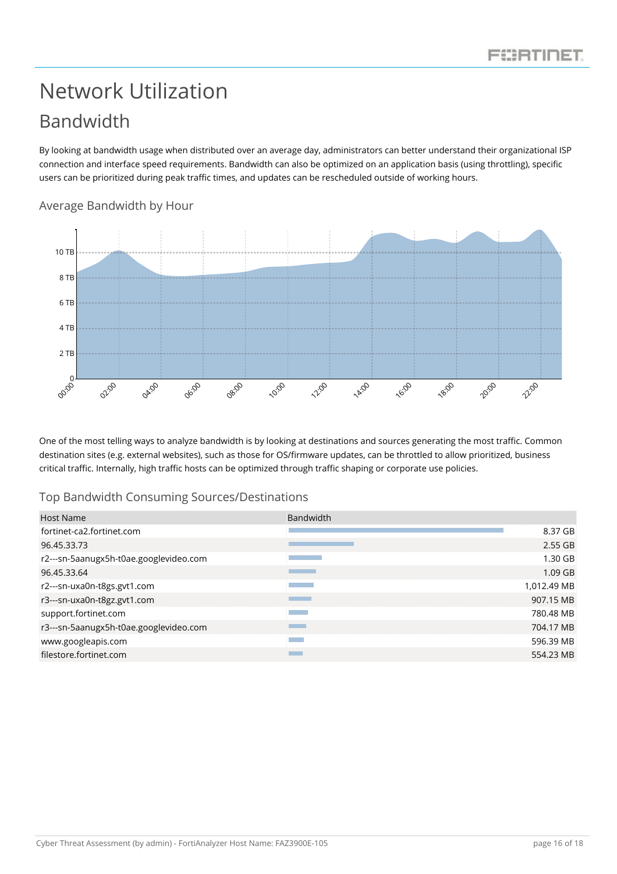## <span id="page-16-1"></span><span id="page-16-0"></span>Network Utilization Bandwidth

<span id="page-16-2"></span>Average Bandwidth by Hour

By looking at bandwidth usage when distributed over an average day, administrators can better understand their organizational ISP connection and interface speed requirements. Bandwidth can also be optimized on an application basis (using throttling), specific users can be prioritized during peak traffic times, and updates can be rescheduled outside of working hours.

#### $\phi_{\rm op}^{\rm{O}}$ 02:00 04:00 06:00 08:00 10:00 **2:00 14:00** 16:00 18:00 **20:00** 22:00 2 TB 4 TB 6 TB 8 TB 10 TB

One of the most telling ways to analyze bandwidth is by looking at destinations and sources generating the most traffic. Common destination sites (e.g. external websites), such as those for OS/firmware updates, can be throttled to allow prioritized, business critical traffic. Internally, high traffic hosts can be optimized through traffic shaping or corporate use policies.

#### <span id="page-16-3"></span>Top Bandwidth Consuming Sources/Destinations

| Host Name                              | <b>Bandwidth</b>                                                                                                                     |
|----------------------------------------|--------------------------------------------------------------------------------------------------------------------------------------|
| fortinet-ca2.fortinet.com              | 8.37 GB                                                                                                                              |
| 96.45.33.73                            | $2.55$ GB                                                                                                                            |
| r2---sn-5aanugx5h-t0ae.googlevideo.com | $1.30$ GB                                                                                                                            |
| 96.45.33.64                            | 1.09 GB                                                                                                                              |
| r2---sn-uxa0n-t8gs.gvt1.com            | 1,012.49 MB<br><b>Contract Contract Contract Contract Contract Contract Contract Contract Contract Contract Contract Contract Co</b> |
| r3---sn-uxa0n-t8gz.gvt1.com            | 907.15 MB<br><b>Service Service</b>                                                                                                  |
| support.fortinet.com                   | 780.48 MB                                                                                                                            |
| r3---sn-5aanugx5h-t0ae.googlevideo.com | <b>Contract Contract Contract Contract Contract Contract Contract Contract Contract Contract Contract Contract Co</b><br>704.17 MB   |
| www.googleapis.com                     | 596.39 MB                                                                                                                            |
| filestore.fortinet.com                 | 554.23 MB                                                                                                                            |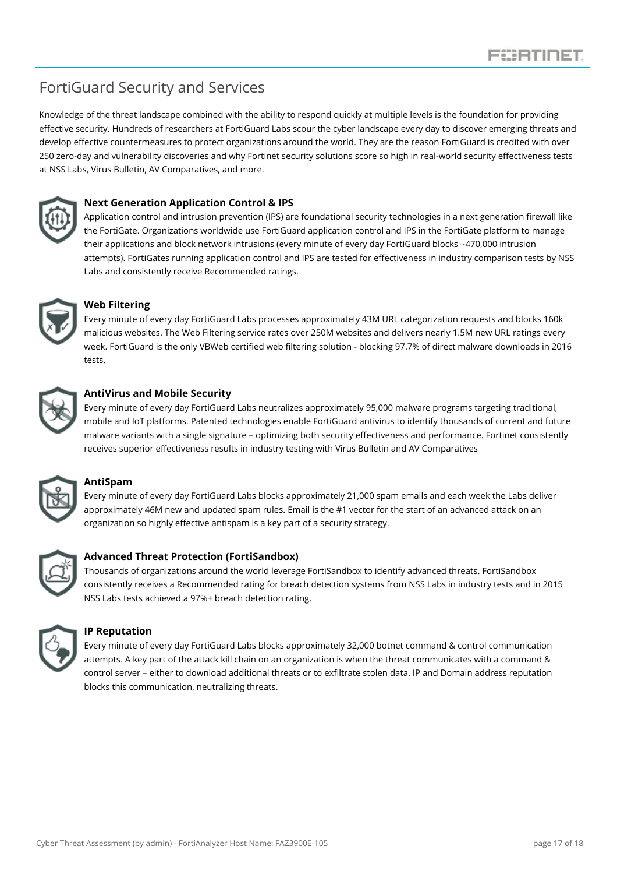### <span id="page-17-0"></span>FortiGuard Security and Services

Knowledge of the threat landscape combined with the ability to respond quickly at multiple levels is the foundation for providing effective security. Hundreds of researchers at FortiGuard Labs scour the cyber landscape every day to discover emerging threats and develop effective countermeasures to protect organizations around the world. They are the reason FortiGuard is credited with over 250 zero-day and vulnerability discoveries and why Fortinet security solutions score so high in real-world security effectiveness tests at NSS Labs, Virus Bulletin, AV Comparatives, and more.



#### **Next Generation Application Control & IPS**

Application control and intrusion prevention (IPS) are foundational security technologies in a next generation firewall like the FortiGate. Organizations worldwide use FortiGuard application control and IPS in the FortiGate platform to manage their applications and block network intrusions (every minute of every day FortiGuard blocks ~470,000 intrusion attempts). FortiGates running application control and IPS are tested for effectiveness in industry comparison tests by NSS Labs and consistently receive Recommended ratings.



#### **Web Filtering**

Every minute of every day FortiGuard Labs processes approximately 43M URL categorization requests and blocks 160k malicious websites. The Web Filtering service rates over 250M websites and delivers nearly 1.5M new URL ratings every week. FortiGuard is the only VBWeb certified web filtering solution - blocking 97.7% of direct malware downloads in 2016 tests.



#### **AntiVirus and Mobile Security**

Every minute of every day FortiGuard Labs neutralizes approximately 95,000 malware programs targeting traditional, mobile and IoT platforms. Patented technologies enable FortiGuard antivirus to identify thousands of current and future malware variants with a single signature – optimizing both security effectiveness and performance. Fortinet consistently receives superior effectiveness results in industry testing with Virus Bulletin and AV Comparatives



#### **AntiSpam**

Every minute of every day FortiGuard Labs blocks approximately 21,000 spam emails and each week the Labs deliver approximately 46M new and updated spam rules. Email is the #1 vector for the start of an advanced attack on an organization so highly effective antispam is a key part of a security strategy.



#### **Advanced Threat Protection (FortiSandbox)**

Thousands of organizations around the world leverage FortiSandbox to identify advanced threats. FortiSandbox consistently receives a Recommended rating for breach detection systems from NSS Labs in industry tests and in 2015 NSS Labs tests achieved a 97%+ breach detection rating.



#### **IP Reputation**

Every minute of every day FortiGuard Labs blocks approximately 32,000 botnet command & control communication attempts. A key part of the attack kill chain on an organization is when the threat communicates with a command & control server – either to download additional threats or to exfiltrate stolen data. IP and Domain address reputation blocks this communication, neutralizing threats.